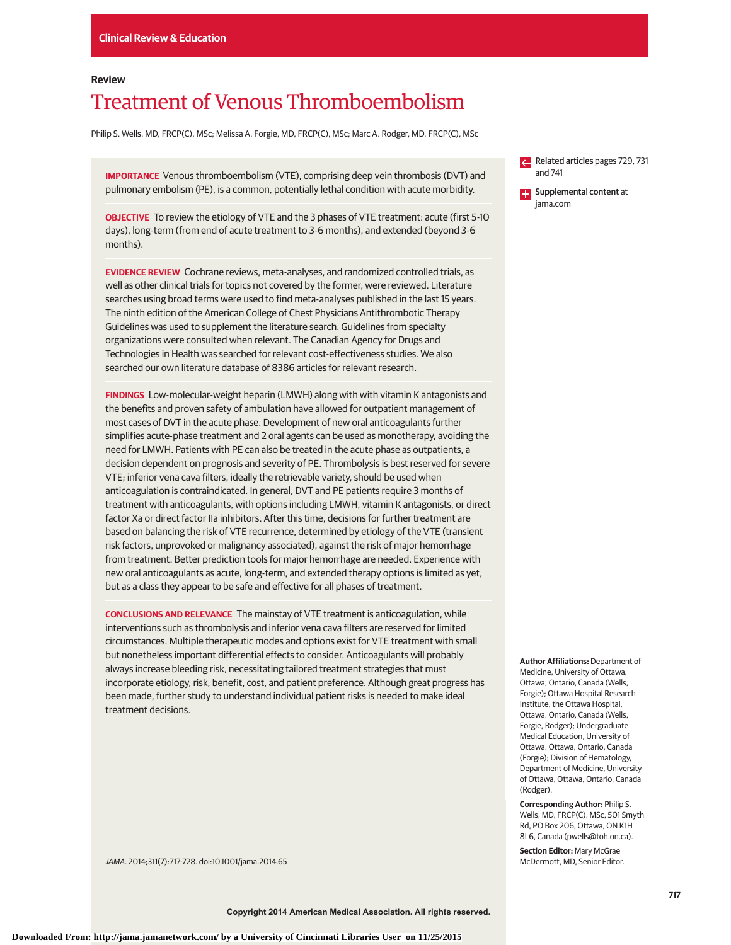## **Review**

# Treatment of Venous Thromboembolism

Philip S. Wells, MD, FRCP(C), MSc; Melissa A. Forgie, MD, FRCP(C), MSc; Marc A. Rodger, MD, FRCP(C), MSc

**IMPORTANCE** Venous thromboembolism (VTE), comprising deep vein thrombosis (DVT) and pulmonary embolism (PE), is a common, potentially lethal condition with acute morbidity.

**OBJECTIVE** To review the etiology of VTE and the 3 phases of VTE treatment: acute (first 5-10 days), long-term (from end of acute treatment to 3-6 months), and extended (beyond 3-6 months).

**EVIDENCE REVIEW** Cochrane reviews, meta-analyses, and randomized controlled trials, as well as other clinical trials for topics not covered by the former, were reviewed. Literature searches using broad terms were used to find meta-analyses published in the last 15 years. The ninth edition of the American College of Chest Physicians Antithrombotic Therapy Guidelines was used to supplement the literature search. Guidelines from specialty organizations were consulted when relevant. The Canadian Agency for Drugs and Technologies in Health was searched for relevant cost-effectiveness studies. We also searched our own literature database of 8386 articles for relevant research.

**FINDINGS** Low-molecular-weight heparin (LMWH) along with with vitamin K antagonists and the benefits and proven safety of ambulation have allowed for outpatient management of most cases of DVT in the acute phase. Development of new oral anticoagulants further simplifies acute-phase treatment and 2 oral agents can be used as monotherapy, avoiding the need for LMWH. Patients with PE can also be treated in the acute phase as outpatients, a decision dependent on prognosis and severity of PE. Thrombolysis is best reserved for severe VTE; inferior vena cava filters, ideally the retrievable variety, should be used when anticoagulation is contraindicated. In general, DVT and PE patients require 3 months of treatment with anticoagulants, with options including LMWH, vitamin K antagonists, or direct factor Xa or direct factor IIa inhibitors. After this time, decisions for further treatment are based on balancing the risk of VTE recurrence, determined by etiology of the VTE (transient risk factors, unprovoked or malignancy associated), against the risk of major hemorrhage from treatment. Better prediction tools for major hemorrhage are needed. Experience with new oral anticoagulants as acute, long-term, and extended therapy options is limited as yet, but as a class they appear to be safe and effective for all phases of treatment.

**CONCLUSIONS AND RELEVANCE** The mainstay of VTE treatment is anticoagulation, while interventions such as thrombolysis and inferior vena cava filters are reserved for limited circumstances. Multiple therapeutic modes and options exist for VTE treatment with small but nonetheless important differential effects to consider. Anticoagulants will probably always increase bleeding risk, necessitating tailored treatment strategies that must incorporate etiology, risk, benefit, cost, and patient preference. Although great progress has been made, further study to understand individual patient risks is needed to make ideal treatment decisions.

JAMA. 2014;311(7):717-728. doi:10.1001/jama.2014.65

Related articles pages 729, 731 and 741

**Supplemental content at** jama.com

**Author Affiliations:** Department of Medicine, University of Ottawa, Ottawa, Ontario, Canada (Wells, Forgie); Ottawa Hospital Research Institute, the Ottawa Hospital, Ottawa, Ontario, Canada (Wells, Forgie, Rodger); Undergraduate Medical Education, University of Ottawa, Ottawa, Ontario, Canada (Forgie); Division of Hematology, Department of Medicine, University of Ottawa, Ottawa, Ontario, Canada (Rodger).

**Corresponding Author:** Philip S. Wells, MD, FRCP(C), MSc, 501 Smyth Rd, PO Box 206, Ottawa, ON K1H 8L6, Canada (pwells@toh.on.ca).

**Section Editor:** Mary McGrae McDermott, MD, Senior Editor.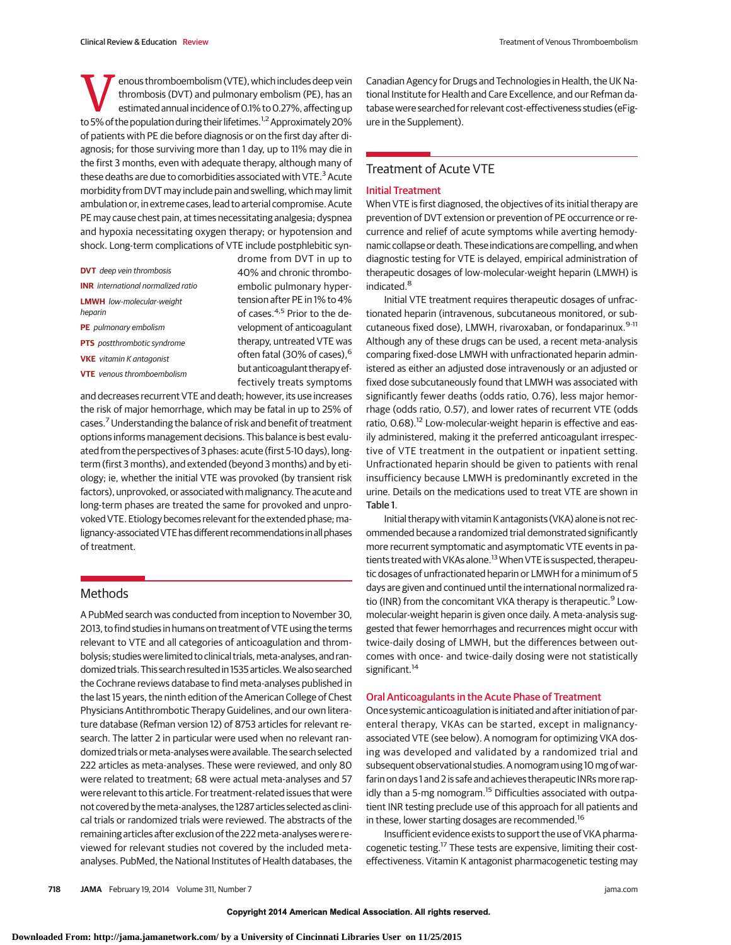**VENTIFY AND SET UP:** Thrombosis (DVT) and pulmonary embolism (PE), has an estimated annual incidence of 0.1% to 0.27%, affecting up to 5% of the population during their lifetimes  $\frac{1}{2}$  Approximately 20% thrombosis (DVT) and pulmonary embolism (PE), has an estimated annual incidence of 0.1% to 0.27%, affecting up to 5% of the population during their lifetimes.<sup>1,2</sup> Approximately 20% of patients with PE die before diagnosis or on the first day after diagnosis; for those surviving more than 1 day, up to 11% may die in the first 3 months, even with adequate therapy, although many of these deaths are due to comorbidities associated with VTE. $3$  Acute morbidity from DVT may include pain and swelling, which may limit ambulation or, in extreme cases, lead to arterial compromise. Acute PE may cause chest pain, at times necessitating analgesia; dyspnea and hypoxia necessitating oxygen therapy; or hypotension and shock. Long-term complications of VTE include postphlebitic syn-

- **DVT** deep vein thrombosis **INR** international normalized ratio **LMWH** low-molecular-weight heparin **PE** pulmonary embolism **PTS** postthrombotic syndrome
- **VKE** vitamin K antagonist
- **VTE** venous thromboembolism

drome from DVT in up to 40% and chronic thromboembolic pulmonary hypertension after PE in 1% to 4% of cases.4,5 Prior to the development of anticoagulant therapy, untreated VTE was often fatal (30% of cases),<sup>6</sup> butanticoagulant therapyeffectively treats symptoms

and decreases recurrent VTE and death; however, its use increases the risk of major hemorrhage, which may be fatal in up to 25% of cases.7Understanding the balance of risk and benefit of treatment options informs management decisions. This balance is best evaluated from the perspectives of 3 phases: acute (first 5-10 days), longterm (first 3 months), and extended (beyond 3 months) and by etiology; ie, whether the initial VTE was provoked (by transient risk factors), unprovoked, or associated with malignancy. The acute and long-term phases are treated the same for provoked and unprovoked VTE. Etiology becomes relevant for the extended phase; malignancy-associatedVTE has different recommendations inall phases of treatment.

# **Methods**

A PubMed search was conducted from inception to November 30, 2013, to find studies in humans on treatment of VTE using the terms relevant to VTE and all categories of anticoagulation and thrombolysis; studies were limited to clinical trials, meta-analyses, and randomized trials. This search resulted in 1535 articles.We also searched the Cochrane reviews database to find meta-analyses published in the last 15 years, the ninth edition of the American College of Chest Physicians Antithrombotic Therapy Guidelines, and our own literature database (Refman version 12) of 8753 articles for relevant research. The latter 2 in particular were used when no relevant randomized trials or meta-analyses were available. The search selected 222 articles as meta-analyses. These were reviewed, and only 80 were related to treatment; 68 were actual meta-analyses and 57 were relevant to this article. For treatment-related issues that were not covered by themeta-analyses, the 1287 articles selected as clinical trials or randomized trials were reviewed. The abstracts of the remaining articles after exclusion of the 222 meta-analyses were reviewed for relevant studies not covered by the included metaanalyses. PubMed, the National Institutes of Health databases, the Canadian Agency for Drugs and Technologies in Health, the UK National Institute for Health and Care Excellence, and our Refman database were searched for relevant cost-effectiveness studies (eFigure in the Supplement).

# Treatment of Acute VTE

### Initial Treatment

When VTE is first diagnosed, the objectives of its initial therapy are prevention of DVT extension or prevention of PE occurrence or recurrence and relief of acute symptoms while averting hemodynamic collapse or death. These indications are compelling, and when diagnostic testing for VTE is delayed, empirical administration of therapeutic dosages of low-molecular-weight heparin (LMWH) is indicated.<sup>8</sup>

Initial VTE treatment requires therapeutic dosages of unfractionated heparin (intravenous, subcutaneous monitored, or subcutaneous fixed dose), LMWH, rivaroxaban, or fondaparinux.<sup>9-11</sup> Although any of these drugs can be used, a recent meta-analysis comparing fixed-dose LMWH with unfractionated heparin administered as either an adjusted dose intravenously or an adjusted or fixed dose subcutaneously found that LMWH was associated with significantly fewer deaths (odds ratio, 0.76), less major hemorrhage (odds ratio, 0.57), and lower rates of recurrent VTE (odds ratio, 0.68).<sup>12</sup> Low-molecular-weight heparin is effective and easily administered, making it the preferred anticoagulant irrespective of VTE treatment in the outpatient or inpatient setting. Unfractionated heparin should be given to patients with renal insufficiency because LMWH is predominantly excreted in the urine. Details on the medications used to treat VTE are shown in Table 1.

Initial therapy with vitamin K antagonists (VKA) alone is not recommended because a randomized trial demonstrated significantly more recurrent symptomatic and asymptomatic VTE events in patients treated with VKAs alone.<sup>13</sup> When VTE is suspected, therapeutic dosages of unfractionated heparin or LMWH for a minimum of 5 days are given and continued until the international normalized ratio (INR) from the concomitant VKA therapy is therapeutic.<sup>9</sup> Lowmolecular-weight heparin is given once daily. A meta-analysis suggested that fewer hemorrhages and recurrences might occur with twice-daily dosing of LMWH, but the differences between outcomes with once- and twice-daily dosing were not statistically significant.<sup>14</sup>

## Oral Anticoagulants in the Acute Phase of Treatment

Once systemic anticoagulation is initiated and after initiation of parenteral therapy, VKAs can be started, except in malignancyassociated VTE (see below). A nomogram for optimizing VKA dosing was developed and validated by a randomized trial and subsequent observational studies. A nomogram using 10 mg of warfarin on days 1 and 2 is safe and achieves therapeutic INRs more rapidly than a 5-mg nomogram.<sup>15</sup> Difficulties associated with outpatient INR testing preclude use of this approach for all patients and in these, lower starting dosages are recommended.<sup>16</sup>

Insufficient evidence exists to support the use of VKA pharmacogenetic testing.<sup>17</sup> These tests are expensive, limiting their costeffectiveness. Vitamin K antagonist pharmacogenetic testing may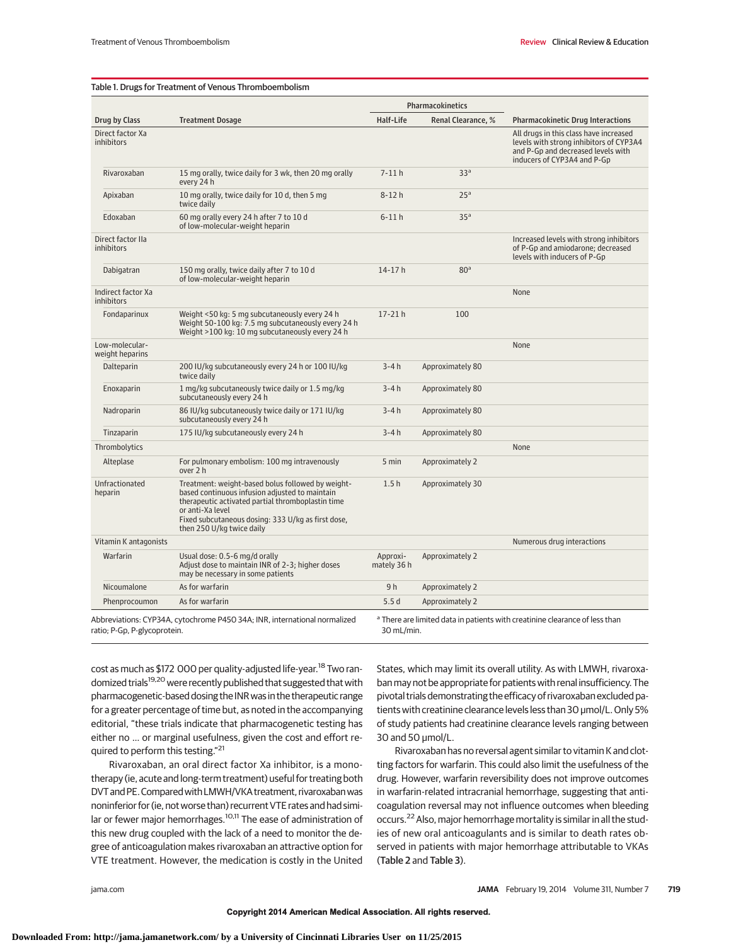#### Table 1. Drugs for Treatment of Venous Thromboembolism

|                                       |                                                                                                                                                                                                                                                                 |                         | Pharmacokinetics   |                                                                                                                                                        |
|---------------------------------------|-----------------------------------------------------------------------------------------------------------------------------------------------------------------------------------------------------------------------------------------------------------------|-------------------------|--------------------|--------------------------------------------------------------------------------------------------------------------------------------------------------|
| Drug by Class                         | <b>Treatment Dosage</b>                                                                                                                                                                                                                                         | Half-Life               | Renal Clearance, % | <b>Pharmacokinetic Drug Interactions</b>                                                                                                               |
| Direct factor Xa<br><i>inhibitors</i> |                                                                                                                                                                                                                                                                 |                         |                    | All drugs in this class have increased<br>levels with strong inhibitors of CYP3A4<br>and P-Gp and decreased levels with<br>inducers of CYP3A4 and P-Gp |
| Rivaroxaban                           | 15 mg orally, twice daily for 3 wk, then 20 mg orally<br>every 24 h                                                                                                                                                                                             | $7 - 11h$               | 33 <sup>a</sup>    |                                                                                                                                                        |
| Apixaban                              | 10 mg orally, twice daily for 10 d, then 5 mg<br>twice daily                                                                                                                                                                                                    | $8-12h$                 | 25 <sup>a</sup>    |                                                                                                                                                        |
| Edoxaban                              | 60 mg orally every 24 h after 7 to 10 d<br>of low-molecular-weight heparin                                                                                                                                                                                      | $6-11h$                 | 35 <sup>a</sup>    |                                                                                                                                                        |
| Direct factor IIa<br>inhibitors       |                                                                                                                                                                                                                                                                 |                         |                    | Increased levels with strong inhibitors<br>of P-Gp and amiodarone; decreased<br>levels with inducers of P-Gp                                           |
| Dabigatran                            | 150 mg orally, twice daily after 7 to 10 d<br>of low-molecular-weight heparin                                                                                                                                                                                   | $14 - 17h$              | 80 <sup>a</sup>    |                                                                                                                                                        |
| Indirect factor Xa<br>inhibitors      |                                                                                                                                                                                                                                                                 |                         |                    | None                                                                                                                                                   |
| Fondaparinux                          | Weight <50 kg: 5 mg subcutaneously every 24 h<br>Weight 50-100 kg: 7.5 mg subcutaneously every 24 h<br>Weight >100 kg: 10 mg subcutaneously every 24 h                                                                                                          | $17 - 21h$              | 100                |                                                                                                                                                        |
| Low-molecular-<br>weight heparins     |                                                                                                                                                                                                                                                                 |                         |                    | None                                                                                                                                                   |
| Dalteparin                            | 200 IU/kg subcutaneously every 24 h or 100 IU/kg<br>twice daily                                                                                                                                                                                                 | $3-4h$                  | Approximately 80   |                                                                                                                                                        |
| Enoxaparin                            | 1 mg/kg subcutaneously twice daily or 1.5 mg/kg<br>subcutaneously every 24 h                                                                                                                                                                                    | $3-4h$                  | Approximately 80   |                                                                                                                                                        |
| Nadroparin                            | 86 IU/kg subcutaneously twice daily or 171 IU/kg<br>subcutaneously every 24 h                                                                                                                                                                                   | $3-4h$                  | Approximately 80   |                                                                                                                                                        |
| Tinzaparin                            | 175 IU/kg subcutaneously every 24 h                                                                                                                                                                                                                             | $3-4h$                  | Approximately 80   |                                                                                                                                                        |
| Thrombolytics                         |                                                                                                                                                                                                                                                                 |                         |                    | None                                                                                                                                                   |
| Alteplase                             | For pulmonary embolism: 100 mg intravenously<br>over 2 h                                                                                                                                                                                                        | 5 min                   | Approximately 2    |                                                                                                                                                        |
| Unfractionated<br>heparin             | Treatment: weight-based bolus followed by weight-<br>based continuous infusion adjusted to maintain<br>therapeutic activated partial thromboplastin time<br>or anti-Xa level<br>Fixed subcutaneous dosing: 333 U/kg as first dose,<br>then 250 U/kg twice daily | 1.5h                    | Approximately 30   |                                                                                                                                                        |
| Vitamin K antagonists                 |                                                                                                                                                                                                                                                                 |                         |                    | Numerous drug interactions                                                                                                                             |
| Warfarin                              | Usual dose: 0.5-6 mg/d orally<br>Adjust dose to maintain INR of 2-3; higher doses<br>may be necessary in some patients                                                                                                                                          | Approxi-<br>mately 36 h | Approximately 2    |                                                                                                                                                        |
| Nicoumalone                           | As for warfarin                                                                                                                                                                                                                                                 | 9 <sub>h</sub>          | Approximately 2    |                                                                                                                                                        |
| Phenprocoumon                         | As for warfarin                                                                                                                                                                                                                                                 | 5.5d                    | Approximately 2    |                                                                                                                                                        |
| ratio; P-Gp, P-glycoprotein.          | Abbreviations: CYP34A, cytochrome P450 34A; INR, international normalized                                                                                                                                                                                       | 30 mL/min.              |                    | a There are limited data in patients with creatinine clearance of less than                                                                            |

cost as much as \$172 000 per quality-adjusted life-year.<sup>18</sup> Two randomized trials<sup>19,20</sup> were recently published that suggested that with pharmacogenetic-based dosing the INR was in the therapeutic range for a greater percentage of time but, as noted in the accompanying editorial, "these trials indicate that pharmacogenetic testing has either no … or marginal usefulness, given the cost and effort required to perform this testing."21

Rivaroxaban, an oral direct factor Xa inhibitor, is a monotherapy (ie, acute and long-term treatment) useful for treating both DVTand PE.ComparedwithLMWH/VKA treatment, rivaroxabanwas noninferior for (ie, not worse than) recurrent VTE rates and had similar or fewer major hemorrhages.<sup>10,11</sup> The ease of administration of this new drug coupled with the lack of a need to monitor the degree of anticoagulation makes rivaroxaban an attractive option for VTE treatment. However, the medication is costly in the United

States, which may limit its overall utility. As with LMWH, rivaroxabanmay not be appropriate for patients with renal insufficiency. The pivotal trials demonstrating the efficacy of rivaroxaban excluded patients with creatinine clearance levels less than 30 μmol/L. Only 5% of study patients had creatinine clearance levels ranging between 30 and 50  $\mu$ mol/L.

Rivaroxaban has no reversal agent similar to vitamin K and clotting factors for warfarin. This could also limit the usefulness of the drug. However, warfarin reversibility does not improve outcomes in warfarin-related intracranial hemorrhage, suggesting that anticoagulation reversal may not influence outcomes when bleeding occurs.<sup>22</sup> Also, major hemorrhage mortality is similar in all the studies of new oral anticoagulants and is similar to death rates observed in patients with major hemorrhage attributable to VKAs (Table 2 and Table 3).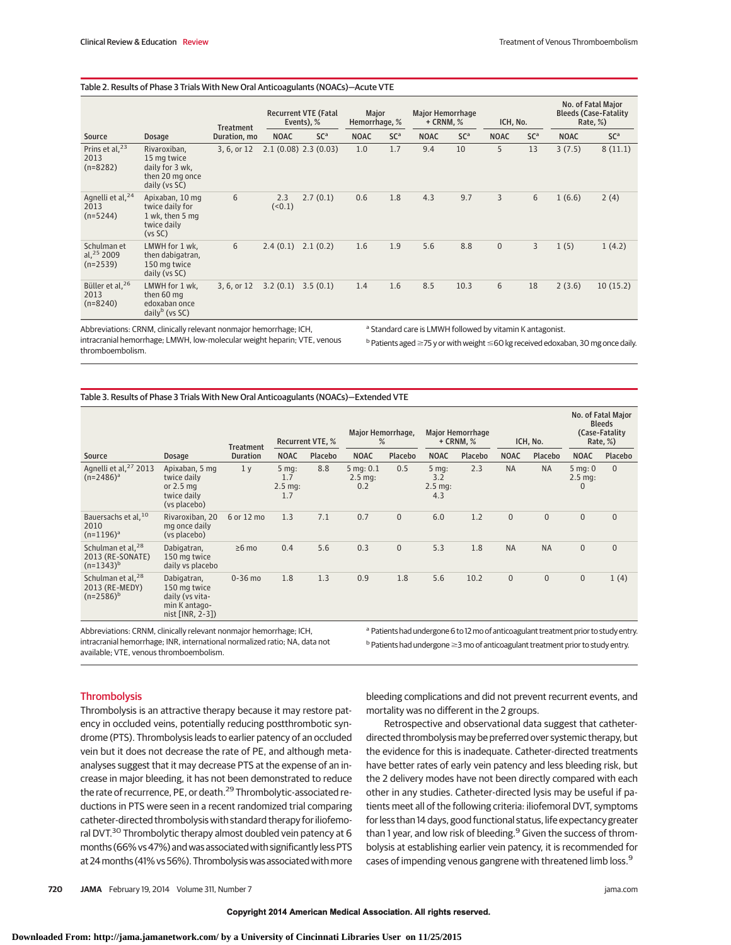#### Table 2. Results of Phase 3 Trials With New Oral Anticoagulants (NOACs)—Acute VTE

|                                                    | <b>Treatment</b>                                                                   |              |              | <b>Recurrent VTE (Fatal</b><br>Events), % |             | Major<br>Hemorrhage, % |             | <b>Major Hemorrhage</b><br>$+$ CRNM, $%$ |              | ICH, No.        |             | No. of Fatal Major<br><b>Bleeds (Case-Fatality</b><br>Rate, %) |  |
|----------------------------------------------------|------------------------------------------------------------------------------------|--------------|--------------|-------------------------------------------|-------------|------------------------|-------------|------------------------------------------|--------------|-----------------|-------------|----------------------------------------------------------------|--|
| Source                                             | Dosage                                                                             | Duration, mo | <b>NOAC</b>  | SC <sup>a</sup>                           | <b>NOAC</b> | SC <sup>a</sup>        | <b>NOAC</b> | SC <sup>a</sup>                          | <b>NOAC</b>  | SC <sup>a</sup> | <b>NOAC</b> | SC <sup>a</sup>                                                |  |
| Prins et al, <sup>23</sup><br>2013<br>$(n=8282)$   | Rivaroxiban,<br>15 mg twice<br>daily for 3 wk,<br>then 20 mg once<br>daily (vs SC) | 3, 6, or 12  |              | $2.1(0.08)$ 2.3 $(0.03)$                  | 1.0         | 1.7                    | 9.4         | 10                                       | 5            | 13              | 3(7.5)      | 8(11.1)                                                        |  |
| Agnelli et al, <sup>24</sup><br>2013<br>$(n=5244)$ | Apixaban, 10 mg<br>twice daily for<br>1 wk, then 5 mg<br>twice daily<br>(vs SC)    | 6            | 2.3<br>(0.1) | 2.7(0.1)                                  | 0.6         | 1.8                    | 4.3         | 9.7                                      | 3            | 6               | 1(6.6)      | 2(4)                                                           |  |
| Schulman et<br>al. $^{25}$ 2009<br>$(n=2539)$      | LMWH for 1 wk,<br>then dabigatran,<br>150 mg twice<br>daily (vs SC)                | 6            | 2.4(0.1)     | 2.1(0.2)                                  | 1.6         | 1.9                    | 5.6         | 8.8                                      | $\mathbf{0}$ | 3               | 1(5)        | 1(4.2)                                                         |  |
| Büller et al, <sup>26</sup><br>2013<br>$(n=8240)$  | LMWH for 1 wk,<br>then 60 mg<br>edoxaban once<br>$dailyb$ (vs SC)                  | 3, 6, or 12  | 3.2(0.1)     | 3.5(0.1)                                  | 1.4         | 1.6                    | 8.5         | 10.3                                     | 6            | 18              | 2(3.6)      | 10(15.2)                                                       |  |

Abbreviations: CRNM, clinically relevant nonmajor hemorrhage; ICH, intracranial hemorrhage; LMWH, low-molecular weight heparin; VTE, venous thromboembolism.

a Standard care is LMWH followed by vitamin K antagonist.

 $^{\rm b}$  Patients aged  $\geq$ 75 y or with weight  $\leq$ 60 kg received edoxaban, 30 mg once daily.

#### Table 3. Results of Phase 3 Trials With New Oral Anticoagulants (NOACs)—Extended VTE

|                                                                     |                                                                                      |                  |                                    |                         | Major Hemorrhage,                             |              |                                                | <b>Major Hemorrhage</b> |              |              |                                      | No. of Fatal Major<br><b>Bleeds</b><br>(Case-Fatality |
|---------------------------------------------------------------------|--------------------------------------------------------------------------------------|------------------|------------------------------------|-------------------------|-----------------------------------------------|--------------|------------------------------------------------|-------------------------|--------------|--------------|--------------------------------------|-------------------------------------------------------|
|                                                                     |                                                                                      | <b>Treatment</b> |                                    | <b>Recurrent VTE, %</b> | %                                             |              |                                                | $+$ CRNM, $%$           |              | ICH, No.     |                                      | Rate, %)                                              |
| Source                                                              | <b>Dosage</b>                                                                        | <b>Duration</b>  | <b>NOAC</b>                        | Placebo                 | <b>NOAC</b>                                   | Placebo      | <b>NOAC</b>                                    | Placebo                 | <b>NOAC</b>  | Placebo      | <b>NOAC</b>                          | Placebo                                               |
| Agnelli et al, <sup>27</sup> 2013<br>$(n=2486)^a$                   | Apixaban, 5 mg<br>twice daily<br>or $2.5$ mg<br>twice daily<br>(vs placebo)          | 1 <sub>v</sub>   | $5$ mg:<br>1.7<br>$2.5$ mg:<br>1.7 | 8.8                     | $5$ mg: $0.1$<br>$2.5 \,\mathrm{mg}$ :<br>0.2 | 0.5          | $5mg$ :<br>3.2<br>$2.5 \,\mathrm{mg}$ :<br>4.3 | 2.3                     | <b>NA</b>    | <b>NA</b>    | $5 \text{ mg}$ : 0<br>$2.5$ mq:<br>0 | $\Omega$                                              |
| Bauersachs et al, 10<br>2010<br>$(n=1196)^a$                        | Rivaroxiban, 20<br>mg once daily<br>(vs placebo)                                     | 6 or 12 mo       | 1.3                                | 7.1                     | 0.7                                           | $\mathbf{0}$ | 6.0                                            | 1.2                     | $\mathbf{0}$ | $\mathbf{0}$ | $\mathbf{0}$                         | $\overline{0}$                                        |
| Schulman et al, <sup>28</sup><br>2013 (RE-SONATE)<br>$(n=1343)^{b}$ | Dabigatran,<br>150 mg twice<br>daily vs placebo                                      | $\geq 6$ mo      | 0.4                                | 5.6                     | 0.3                                           | $\mathbf{0}$ | 5.3                                            | 1.8                     | <b>NA</b>    | <b>NA</b>    | $\mathbf{0}$                         | $\overline{0}$                                        |
| Schulman et al, <sup>28</sup><br>2013 (RE-MEDY)<br>$(n=2586)^b$     | Dabigatran,<br>150 mg twice<br>daily (vs vita-<br>min K antago-<br>nist $[INR, 2-3]$ | $0-36$ mo        | 1.8                                | 1.3                     | 0.9                                           | 1.8          | 5.6                                            | 10.2                    | $\mathbf{0}$ | $\mathbf{0}$ | 0                                    | 1(4)                                                  |

Abbreviations: CRNM, clinically relevant nonmajor hemorrhage; ICH, intracranial hemorrhage; INR, international normalized ratio; NA, data not available; VTE, venous thromboembolism.

a Patients had undergone 6 to 12 mo of anticoagulant treatment prior to study entry.  $b$  Patients had undergone  $\geq$ 3 mo of anticoagulant treatment prior to study entry.

# **Thrombolysis**

Thrombolysis is an attractive therapy because it may restore patency in occluded veins, potentially reducing postthrombotic syndrome (PTS). Thrombolysis leads to earlier patency of an occluded vein but it does not decrease the rate of PE, and although metaanalyses suggest that it may decrease PTS at the expense of an increase in major bleeding, it has not been demonstrated to reduce the rate of recurrence, PE, or death.<sup>29</sup> Thrombolytic-associated reductions in PTS were seen in a recent randomized trial comparing catheter-directed thrombolysis with standard therapy for iliofemoral DVT.<sup>30</sup> Thrombolytic therapy almost doubled vein patency at 6 months (66% vs 47%) and was associated with significantly less PTS at 24 months (41% vs 56%). Thrombolysis was associated with more bleeding complications and did not prevent recurrent events, and mortality was no different in the 2 groups.

Retrospective and observational data suggest that catheterdirected thrombolysis may be preferred over systemic therapy, but the evidence for this is inadequate. Catheter-directed treatments have better rates of early vein patency and less bleeding risk, but the 2 delivery modes have not been directly compared with each other in any studies. Catheter-directed lysis may be useful if patients meet all of the following criteria: iliofemoral DVT, symptoms for less than 14 days, good functional status, life expectancy greater than 1 year, and low risk of bleeding.<sup>9</sup> Given the success of thrombolysis at establishing earlier vein patency, it is recommended for cases of impending venous gangrene with threatened limb loss.<sup>9</sup>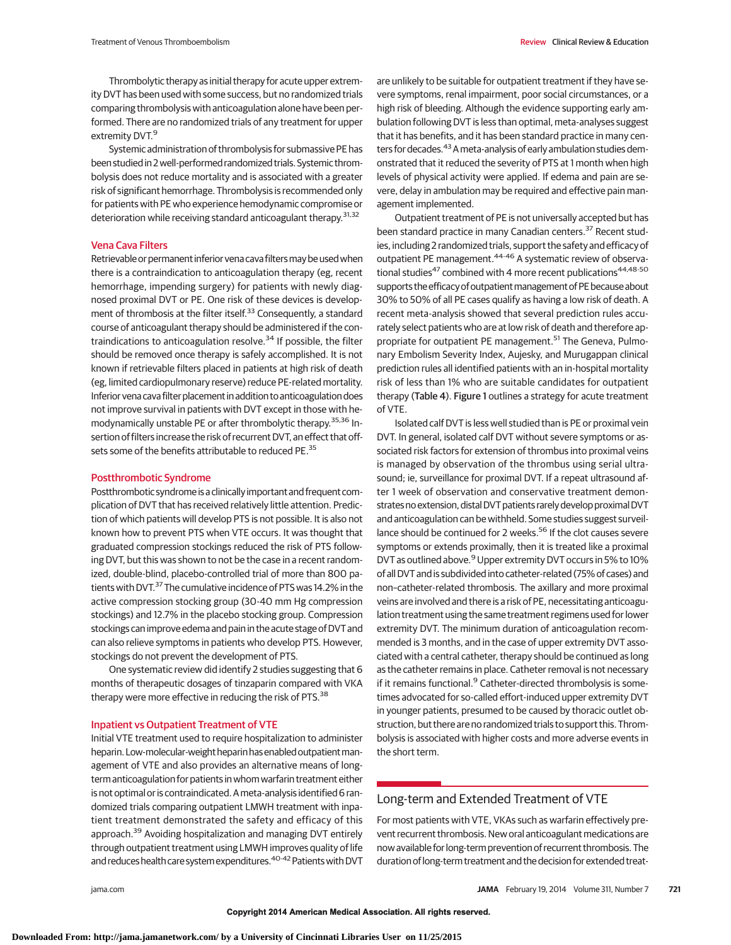Thrombolytic therapy as initial therapy for acute upper extremity DVT has been used with some success, but no randomized trials comparing thrombolysis with anticoagulation alone have been performed. There are no randomized trials of any treatment for upper extremity DVT.<sup>9</sup>

Systemic administration of thrombolysis for submassive PE has been studied in 2 well-performed randomized trials. Systemic thrombolysis does not reduce mortality and is associated with a greater risk of significant hemorrhage. Thrombolysis is recommended only for patients with PE who experience hemodynamic compromise or deterioration while receiving standard anticoagulant therapy.<sup>31,32</sup>

## Vena Cava Filters

Retrievable or permanent inferior vena cava filters may be used when there is a contraindication to anticoagulation therapy (eg, recent hemorrhage, impending surgery) for patients with newly diagnosed proximal DVT or PE. One risk of these devices is development of thrombosis at the filter itself.<sup>33</sup> Consequently, a standard course of anticoagulant therapy should be administered if the contraindications to anticoagulation resolve.<sup>34</sup> If possible, the filter should be removed once therapy is safely accomplished. It is not known if retrievable filters placed in patients at high risk of death (eg, limited cardiopulmonary reserve) reduce PE-related mortality. Inferior vena cava filter placement in addition to anticoagulation does not improve survival in patients with DVT except in those with hemodynamically unstable PE or after thrombolytic therapy.35,36 Insertion of filters increase the risk of recurrent DVT, an effect that offsets some of the benefits attributable to reduced PE.<sup>35</sup>

## Postthrombotic Syndrome

Postthrombotic syndrome is a clinically important and frequent complication of DVT that has received relatively little attention. Prediction of which patients will develop PTS is not possible. It is also not known how to prevent PTS when VTE occurs. It was thought that graduated compression stockings reduced the risk of PTS following DVT, but this was shown to not be the case in a recent randomized, double-blind, placebo-controlled trial of more than 800 patients with DVT.<sup>37</sup> The cumulative incidence of PTS was 14.2% in the active compression stocking group (30-40 mm Hg compression stockings) and 12.7% in the placebo stocking group. Compression stockings can improve edema and pain in the acute stage of DVT and can also relieve symptoms in patients who develop PTS. However, stockings do not prevent the development of PTS.

One systematic review did identify 2 studies suggesting that 6 months of therapeutic dosages of tinzaparin compared with VKA therapy were more effective in reducing the risk of PTS.<sup>38</sup>

## Inpatient vs Outpatient Treatment of VTE

Initial VTE treatment used to require hospitalization to administer heparin. Low-molecular-weight heparin has enabled outpatient management of VTE and also provides an alternative means of longterm anticoagulation for patients in whom warfarin treatment either is not optimal or is contraindicated. Ameta-analysis identified 6 randomized trials comparing outpatient LMWH treatment with inpatient treatment demonstrated the safety and efficacy of this approach.<sup>39</sup> Avoiding hospitalization and managing DVT entirely through outpatient treatment using LMWH improves quality of life and reduces health care system expenditures.<sup>40-42</sup> Patients with DVT

are unlikely to be suitable for outpatient treatment if they have severe symptoms, renal impairment, poor social circumstances, or a high risk of bleeding. Although the evidence supporting early ambulation following DVT is less than optimal, meta-analyses suggest that it has benefits, and it has been standard practice in many centers for decades.<sup>43</sup> A meta-analysis of early ambulation studies demonstrated that it reduced the severity of PTS at 1 month when high levels of physical activity were applied. If edema and pain are severe, delay in ambulation may be required and effective pain management implemented.

Outpatient treatment of PE is not universally accepted but has been standard practice in many Canadian centers.<sup>37</sup> Recent studies, including 2 randomized trials, support the safety and efficacy of outpatient PE management.<sup>44-46</sup> A systematic review of observational studies<sup>47</sup> combined with 4 more recent publications<sup>44,48-50</sup> supports the efficacy of outpatient management of PE because about 30% to 50% of all PE cases qualify as having a low risk of death. A recent meta-analysis showed that several prediction rules accurately select patients who are at low risk of death and therefore appropriate for outpatient PE management.<sup>51</sup> The Geneva, Pulmonary Embolism Severity Index, Aujesky, and Murugappan clinical prediction rules all identified patients with an in-hospital mortality risk of less than 1% who are suitable candidates for outpatient therapy (Table 4). Figure 1 outlines a strategy for acute treatment of VTE.

Isolated calf DVT is less well studied than is PE or proximal vein DVT. In general, isolated calf DVT without severe symptoms or associated risk factors for extension of thrombus into proximal veins is managed by observation of the thrombus using serial ultrasound; ie, surveillance for proximal DVT. If a repeat ultrasound after 1 week of observation and conservative treatment demonstrates no extension, distal DVT patients rarely develop proximal DVT and anticoagulation can be withheld. Some studies suggest surveillance should be continued for 2 weeks.<sup>56</sup> If the clot causes severe symptoms or extends proximally, then it is treated like a proximal DVT as outlined above.<sup>9</sup> Upper extremity DVT occurs in 5% to 10% of all DVT and is subdivided into catheter-related (75% of cases) and non–catheter-related thrombosis. The axillary and more proximal veins are involved and there is a risk of PE, necessitating anticoagulation treatment using the same treatment regimens used for lower extremity DVT. The minimum duration of anticoagulation recommended is 3 months, and in the case of upper extremity DVT associated with a central catheter, therapy should be continued as long as the catheter remains in place. Catheter removal is not necessary if it remains functional.<sup>9</sup> Catheter-directed thrombolysis is sometimes advocated for so-called effort-induced upper extremity DVT in younger patients, presumed to be caused by thoracic outlet obstruction, but there are no randomized trials to support this. Thrombolysis is associated with higher costs and more adverse events in the short term.

# Long-term and Extended Treatment of VTE

For most patients with VTE, VKAs such as warfarin effectively prevent recurrent thrombosis. New oral anticoagulant medications are now available for long-term prevention of recurrent thrombosis. The duration of long-term treatment and the decision forextended treat-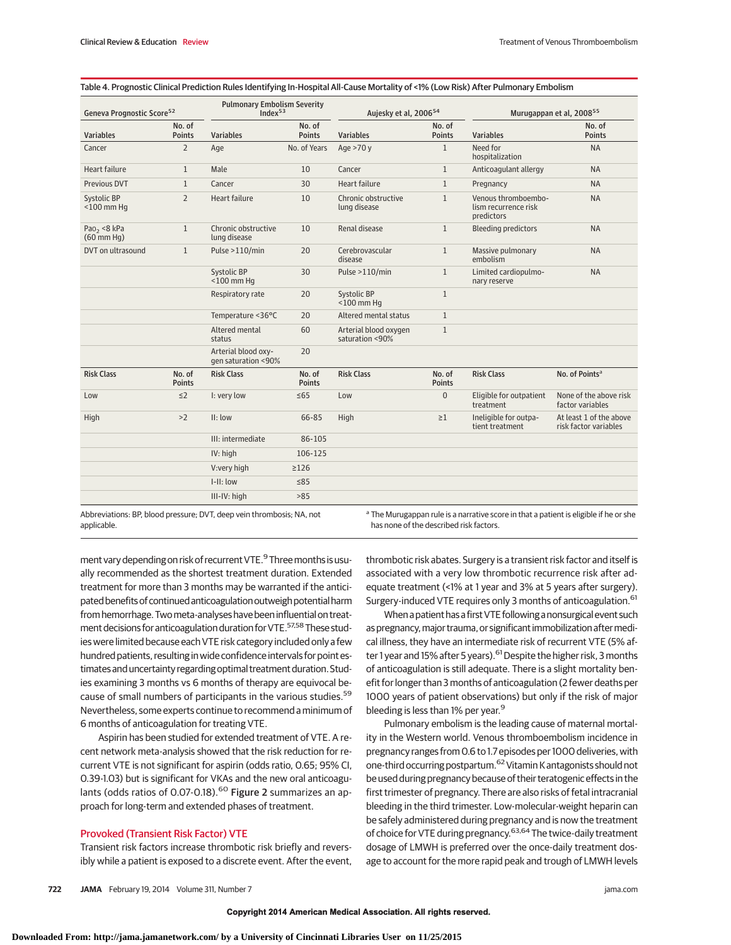| Geneva Prognostic Score <sup>52</sup>       |                         | <b>Pulmonary Embolism Severity</b><br>Index <sup>53</sup> |                         | Aujesky et al, 2006 <sup>54</sup>        |                         | Murugappan et al, 2008 <sup>55</sup>                      |                                                  |  |
|---------------------------------------------|-------------------------|-----------------------------------------------------------|-------------------------|------------------------------------------|-------------------------|-----------------------------------------------------------|--------------------------------------------------|--|
| No. of<br><b>Variables</b><br><b>Points</b> |                         | <b>Variables</b>                                          | No. of<br><b>Points</b> | <b>Variables</b>                         | No. of<br><b>Points</b> | <b>Variables</b>                                          | No. of<br><b>Points</b>                          |  |
| Cancer                                      | $\overline{2}$          | Age                                                       | No. of Years            | Age $>70y$                               | $\mathbf{1}$            | Need for<br>hospitalization                               | <b>NA</b>                                        |  |
| Heart failure                               | $\mathbf{1}$            | Male                                                      | 10                      | Cancer                                   | $\mathbf{1}$            | Anticoagulant allergy                                     | <b>NA</b>                                        |  |
| <b>Previous DVT</b>                         | $\mathbf{1}$            | Cancer                                                    | 30                      | Heart failure                            | $\mathbf{1}$            | Pregnancy                                                 | <b>NA</b>                                        |  |
| Systolic BP<br>$<$ 100 mm Hq                | $\overline{2}$          | <b>Heart failure</b>                                      | 10                      | Chronic obstructive<br>lung disease      | $\mathbf{1}$            | Venous thromboembo-<br>lism recurrence risk<br>predictors | <b>NA</b>                                        |  |
| Pao <sub>2</sub> <8 kPa<br>$(60$ mm Hg)     | $\mathbf{1}$            | Chronic obstructive<br>lung disease                       | 10                      | Renal disease                            | $\mathbf{1}$            | <b>Bleeding predictors</b>                                | <b>NA</b>                                        |  |
| DVT on ultrasound                           | $\mathbf{1}$            | Pulse >110/min                                            | 20                      | Cerebrovascular<br>disease               | $\mathbf{1}$            | Massive pulmonary<br>embolism                             | <b>NA</b>                                        |  |
|                                             |                         | Systolic BP<br>$<$ 100 mm Hq                              | 30                      | Pulse >110/min                           | $\mathbf{1}$            | Limited cardiopulmo-<br>nary reserve                      | <b>NA</b>                                        |  |
|                                             |                         | Respiratory rate                                          | 20                      | Systolic BP<br>$<$ 100 mm Hq             | $\mathbf{1}$            |                                                           |                                                  |  |
|                                             |                         | Temperature <36°C                                         | 20                      | Altered mental status                    | $\mathbf{1}$            |                                                           |                                                  |  |
|                                             |                         | Altered mental<br>status                                  | 60                      | Arterial blood oxygen<br>saturation <90% | $\mathbf{1}$            |                                                           |                                                  |  |
|                                             |                         | Arterial blood oxy-<br>qen saturation <90%                | 20                      |                                          |                         |                                                           |                                                  |  |
| <b>Risk Class</b>                           | No. of<br><b>Points</b> | <b>Risk Class</b>                                         | No. of<br><b>Points</b> | <b>Risk Class</b>                        | No. of<br><b>Points</b> | <b>Risk Class</b>                                         | No. of Points <sup>a</sup>                       |  |
| Low                                         | $\leq$ 2                | I: very low                                               | $\leq 65$               | Low                                      | $\overline{0}$          | Eligible for outpatient<br>treatment                      | None of the above risk<br>factor variables       |  |
| High                                        | >2                      | II: Iow                                                   | 66-85                   | High                                     | $\geq 1$                | Ineligible for outpa-<br>tient treatment                  | At least 1 of the above<br>risk factor variables |  |
|                                             |                         | III: intermediate                                         | 86-105                  |                                          |                         |                                                           |                                                  |  |
|                                             |                         | IV: high                                                  | 106-125                 |                                          |                         |                                                           |                                                  |  |
|                                             |                         | V:very high                                               | $\geq$ 126              |                                          |                         |                                                           |                                                  |  |
|                                             |                         | $I-II: Iow$                                               | ≤85                     |                                          |                         |                                                           |                                                  |  |
|                                             |                         | III-IV: high                                              | >85                     |                                          |                         |                                                           |                                                  |  |

applicable.

has none of the described risk factors.

ment vary depending on risk of recurrent VTE.<sup>9</sup> Three months is usually recommended as the shortest treatment duration. Extended treatment for more than 3 months may be warranted if the anticipated benefits of continued anticoagulation outweigh potential harm from hemorrhage. Twometa-analyses have been influential on treatment decisions for anticoagulation duration for VTE.<sup>57,58</sup> These studies were limited because each VTE risk category included only a few hundred patients, resulting in wide confidence intervals for point estimates and uncertainty regarding optimal treatment duration. Studies examining 3 months vs 6 months of therapy are equivocal because of small numbers of participants in the various studies.<sup>59</sup> Nevertheless, some experts continue to recommend a minimum of 6 months of anticoagulation for treating VTE.

Aspirin has been studied for extended treatment of VTE. A recent network meta-analysis showed that the risk reduction for recurrent VTE is not significant for aspirin (odds ratio, 0.65; 95% CI, 0.39-1.03) but is significant for VKAs and the new oral anticoagulants (odds ratios of 0.07-0.18).<sup>60</sup> Figure 2 summarizes an approach for long-term and extended phases of treatment.

# Provoked (Transient Risk Factor) VTE

Transient risk factors increase thrombotic risk briefly and reversibly while a patient is exposed to a discrete event. After the event, thrombotic risk abates. Surgery is a transient risk factor and itself is associated with a very low thrombotic recurrence risk after adequate treatment (<1% at 1 year and 3% at 5 years after surgery). Surgery-induced VTE requires only 3 months of anticoagulation.<sup>61</sup>

When a patient has a first VTE following a nonsurgical event such as pregnancy, major trauma, or significant immobilization after medical illness, they have an intermediate risk of recurrent VTE (5% after 1 year and 15% after 5 years). <sup>61</sup> Despite the higher risk, 3 months of anticoagulation is still adequate. There is a slight mortality benefit for longer than 3 months of anticoagulation (2 fewer deaths per 1000 years of patient observations) but only if the risk of major bleeding is less than 1% per year.<sup>9</sup>

Pulmonary embolism is the leading cause of maternal mortality in the Western world. Venous thromboembolism incidence in pregnancy ranges from 0.6 to 1.7 episodes per 1000 deliveries, with one-third occurring postpartum.62Vitamin K antagonists should not be used during pregnancy because of their teratogenic effects in the first trimester of pregnancy. There are also risks of fetal intracranial bleeding in the third trimester. Low-molecular-weight heparin can be safely administered during pregnancy and is now the treatment of choice for VTE during pregnancy.<sup>63,64</sup> The twice-daily treatment dosage of LMWH is preferred over the once-daily treatment dosage to account for the more rapid peak and trough of LMWH levels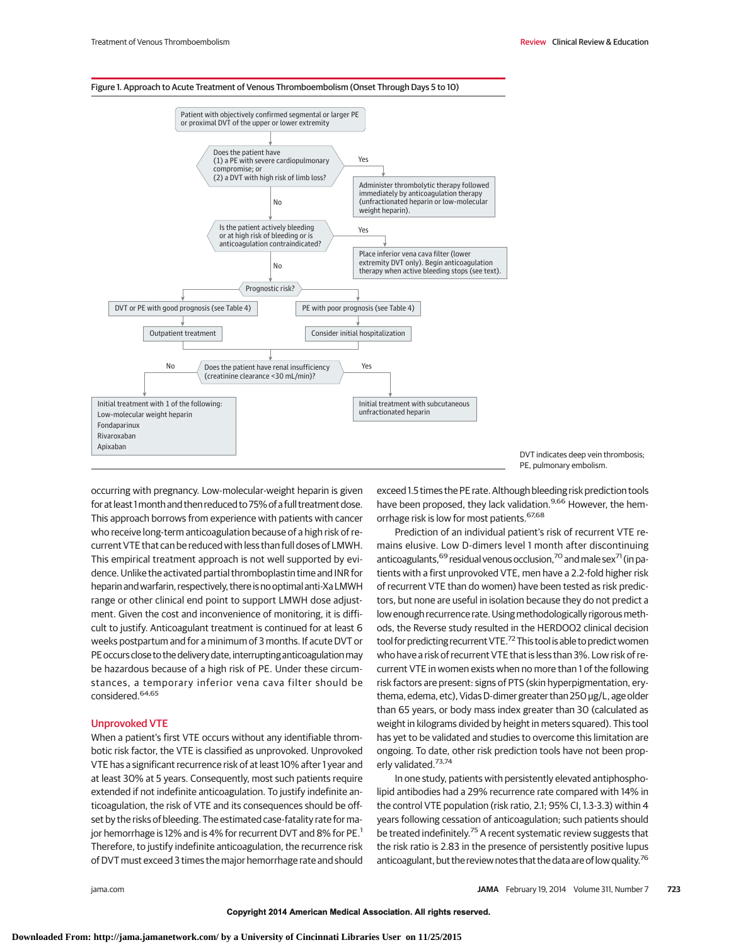

Figure 1. Approach to Acute Treatment of Venous Thromboembolism (Onset Through Days 5 to 10)



occurring with pregnancy. Low-molecular-weight heparin is given for at least 1month and then reduced to 75% of a full treatment dose. This approach borrows from experience with patients with cancer who receive long-term anticoagulation because of a high risk of recurrent VTE that can be reduced with less than full doses of LMWH. This empirical treatment approach is not well supported by evidence. Unlike the activated partial thromboplastin time and INR for heparin and warfarin, respectively, there is no optimal anti-XaLMWH range or other clinical end point to support LMWH dose adjustment. Given the cost and inconvenience of monitoring, it is difficult to justify. Anticoagulant treatment is continued for at least 6 weeks postpartum and for a minimum of 3 months. If acute DVT or PE occurs close to the delivery date, interrupting anticoagulation may be hazardous because of a high risk of PE. Under these circumstances, a temporary inferior vena cava filter should be considered.<sup>64,65</sup>

#### Unprovoked VTE

When a patient's first VTE occurs without any identifiable thrombotic risk factor, the VTE is classified as unprovoked. Unprovoked VTE has a significant recurrence risk of at least 10% after 1 year and at least 30% at 5 years. Consequently, most such patients require extended if not indefinite anticoagulation. To justify indefinite anticoagulation, the risk of VTE and its consequences should be offset by the risks of bleeding. The estimated case-fatality rate for major hemorrhage is 12% and is 4% for recurrent DVT and 8% for PE.<sup>1</sup> Therefore, to justify indefinite anticoagulation, the recurrence risk of DVT must exceed 3 times the major hemorrhage rate and should exceed 1.5 times the PE rate. Although bleeding risk prediction tools have been proposed, they lack validation.<sup>9,66</sup> However, the hemorrhage risk is low for most patients. 67,68

Prediction of an individual patient's risk of recurrent VTE remains elusive. Low D-dimers level 1 month after discontinuing anticoagulants,  $69$  residual venous occlusion,  $70$  and male sex $71$  (in patients with a first unprovoked VTE, men have a 2.2-fold higher risk of recurrent VTE than do women) have been tested as risk predictors, but none are useful in isolation because they do not predict a low enough recurrence rate. Using methodologically rigorous methods, the Reverse study resulted in the HERDOO2 clinical decision tool for predicting recurrent VTE.<sup>72</sup> This tool is able to predict women who have a risk of recurrent VTE that is less than 3%. Low risk of recurrent VTE in women exists when no more than 1 of the following risk factors are present: signs of PTS (skin hyperpigmentation, erythema, edema, etc), Vidas D-dimer greater than 250 μg/L, age older than 65 years, or body mass index greater than 30 (calculated as weight in kilograms divided by height in meters squared). This tool has yet to be validated and studies to overcome this limitation are ongoing. To date, other risk prediction tools have not been properly validated.<sup>73,74</sup>

In one study, patients with persistently elevated antiphospholipid antibodies had a 29% recurrence rate compared with 14% in the control VTE population (risk ratio, 2.1; 95% CI, 1.3-3.3) within 4 years following cessation of anticoagulation; such patients should be treated indefinitely.<sup>75</sup> A recent systematic review suggests that the risk ratio is 2.83 in the presence of persistently positive lupus anticoagulant, but the review notes that the data are of low quality.<sup>76</sup>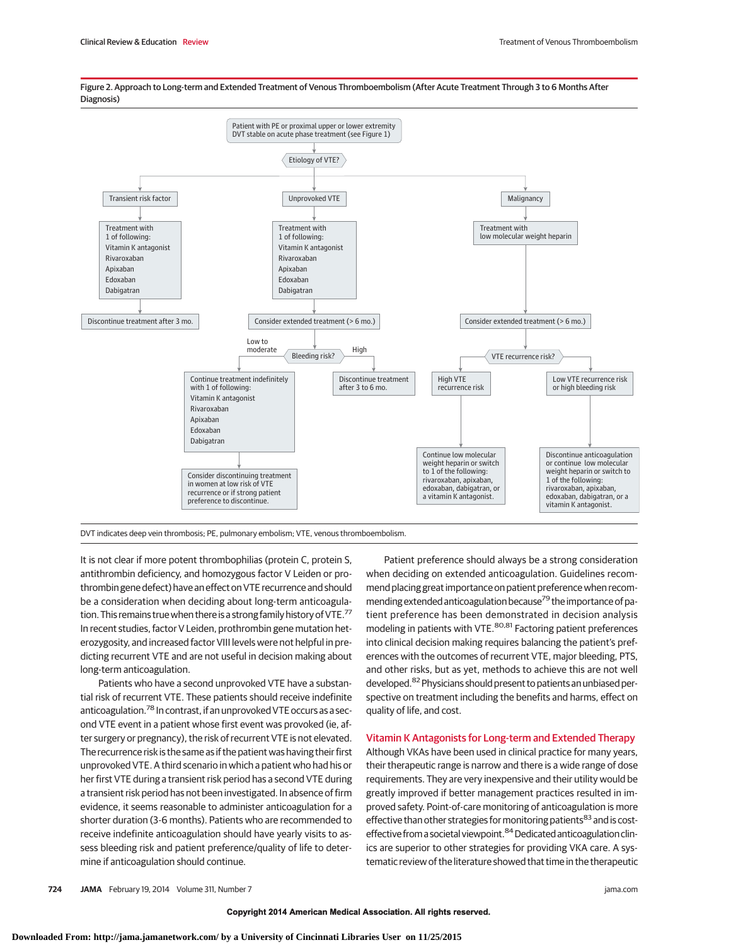

Figure 2. Approach to Long-term and Extended Treatment of Venous Thromboembolism (After Acute Treatment Through 3 to 6 Months After Diagnosis)

DVT indicates deep vein thrombosis; PE, pulmonary embolism; VTE, venous thromboembolism.

It is not clear if more potent thrombophilias (protein C, protein S, antithrombin deficiency, and homozygous factor V Leiden or prothrombin gene defect) have an effect on VTE recurrence and should be a consideration when deciding about long-term anticoagulation. This remains true when there is a strong family history of VTE.<sup>77</sup> In recent studies, factor V Leiden, prothrombin gene mutation heterozygosity, and increased factor VIII levels were not helpful in predicting recurrent VTE and are not useful in decision making about long-term anticoagulation.

Patients who have a second unprovoked VTE have a substantial risk of recurrent VTE. These patients should receive indefinite anticoagulation.<sup>78</sup> In contrast, if an unprovoked VTE occurs as a second VTE event in a patient whose first event was provoked (ie, after surgery or pregnancy), the risk of recurrent VTE is not elevated. The recurrence risk is the same as if the patient was having their first unprovoked VTE. A third scenario in which a patient who had his or her first VTE during a transient risk period has a second VTE during a transient risk period has not been investigated. In absence of firm evidence, it seems reasonable to administer anticoagulation for a shorter duration (3-6 months). Patients who are recommended to receive indefinite anticoagulation should have yearly visits to assess bleeding risk and patient preference/quality of life to determine if anticoagulation should continue.

Patient preference should always be a strong consideration when deciding on extended anticoagulation. Guidelines recommend placing great importance on patient preference when recommending extended anticoagulation because<sup>79</sup> the importance of patient preference has been demonstrated in decision analysis modeling in patients with VTE.<sup>80,81</sup> Factoring patient preferences into clinical decision making requires balancing the patient's preferences with the outcomes of recurrent VTE, major bleeding, PTS, and other risks, but as yet, methods to achieve this are not well developed.<sup>82</sup> Physicians should present to patients an unbiased perspective on treatment including the benefits and harms, effect on quality of life, and cost.

## Vitamin K Antagonists for Long-term and Extended Therapy

Although VKAs have been used in clinical practice for many years, their therapeutic range is narrow and there is a wide range of dose requirements. They are very inexpensive and their utility would be greatly improved if better management practices resulted in improved safety. Point-of-care monitoring of anticoagulation is more effective than other strategies for monitoring patients<sup>83</sup> and is costeffective from a societal viewpoint.<sup>84</sup> Dedicated anticoagulation clinics are superior to other strategies for providing VKA care. A systematic review of the literature showed that time in the therapeutic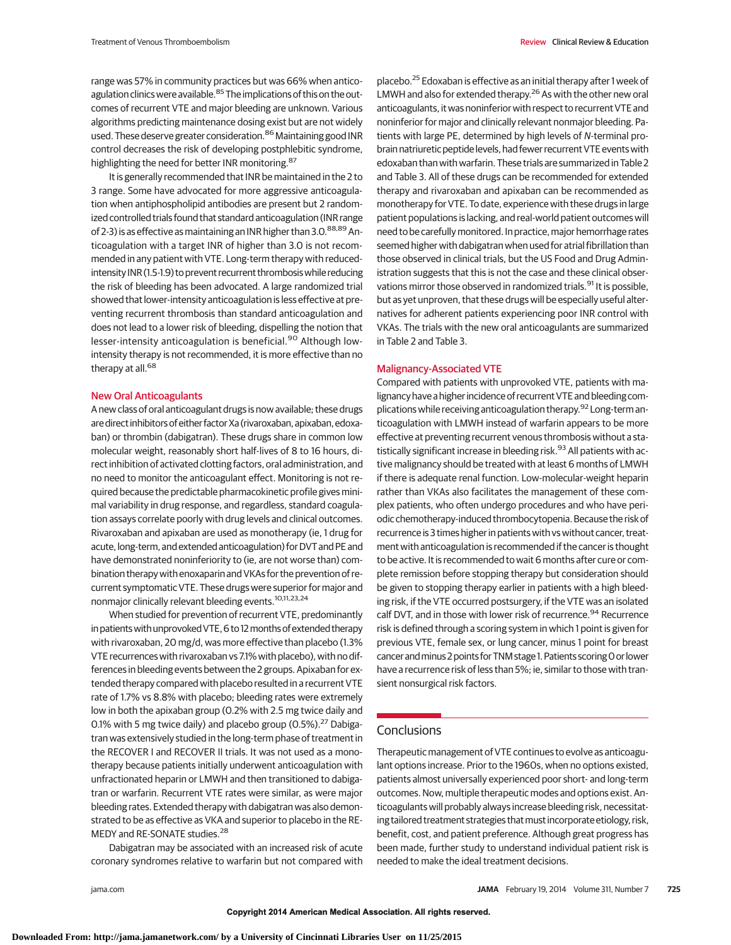range was 57% in community practices but was 66% when anticoagulation clinics were available.<sup>85</sup> The implications of this on the outcomes of recurrent VTE and major bleeding are unknown. Various algorithms predicting maintenance dosing exist but are not widely used. These deserve greater consideration.<sup>86</sup> Maintaining good INR control decreases the risk of developing postphlebitic syndrome, highlighting the need for better INR monitoring.<sup>87</sup>

It is generally recommended that INR be maintained in the 2 to 3 range. Some have advocated for more aggressive anticoagulation when antiphospholipid antibodies are present but 2 randomized controlled trials found that standard anticoagulation (INR range of 2-3) is as effective as maintaining an INR higher than 3.0. $88,89$  Anticoagulation with a target INR of higher than 3.0 is not recommended in any patient with VTE. Long-term therapy with reducedintensity INR (1.5-1.9) to prevent recurrent thrombosis while reducing the risk of bleeding has been advocated. A large randomized trial showed that lower-intensity anticoagulation is less effective at preventing recurrent thrombosis than standard anticoagulation and does not lead to a lower risk of bleeding, dispelling the notion that lesser-intensity anticoagulation is beneficial.<sup>90</sup> Although lowintensity therapy is not recommended, it is more effective than no therapy at all.<sup>68</sup>

#### New Oral Anticoagulants

A new class of oral anticoagulant drugs is now available; these drugs are direct inhibitors of either factor Xa (rivaroxaban, apixaban, edoxaban) or thrombin (dabigatran). These drugs share in common low molecular weight, reasonably short half-lives of 8 to 16 hours, direct inhibition of activated clotting factors, oral administration, and no need to monitor the anticoagulant effect. Monitoring is not required because the predictable pharmacokinetic profile gives minimal variability in drug response, and regardless, standard coagulation assays correlate poorly with drug levels and clinical outcomes. Rivaroxaban and apixaban are used as monotherapy (ie, 1 drug for acute, long-term, and extended anticoagulation) for DVT and PE and have demonstrated noninferiority to (ie, are not worse than) combination therapy with enoxaparin and VKAs for the prevention of recurrent symptomatic VTE. These drugs were superior for major and nonmajor clinically relevant bleeding events.10,11,23,24

When studied for prevention of recurrent VTE, predominantly in patients with unprovoked VTE, 6 to 12 months of extended therapy with rivaroxaban, 20 mg/d, was more effective than placebo (1.3% VTE recurrences with rivaroxaban vs 7.1% with placebo), with no differences in bleeding events between the 2 groups. Apixaban for extended therapy compared with placebo resulted in a recurrent VTE rate of 1.7% vs 8.8% with placebo; bleeding rates were extremely low in both the apixaban group (0.2% with 2.5 mg twice daily and 0.1% with 5 mg twice daily) and placebo group  $(0.5\%)$ .<sup>27</sup> Dabigatran was extensively studied in the long-term phase of treatment in the RECOVER I and RECOVER II trials. It was not used as a monotherapy because patients initially underwent anticoagulation with unfractionated heparin or LMWH and then transitioned to dabigatran or warfarin. Recurrent VTE rates were similar, as were major bleeding rates. Extended therapy with dabigatran was also demonstrated to be as effective as VKA and superior to placebo in the RE-MEDY and RE-SONATE studies.<sup>28</sup>

Dabigatran may be associated with an increased risk of acute coronary syndromes relative to warfarin but not compared with placebo.<sup>25</sup> Edoxaban is effective as an initial therapy after 1 week of LMWH and also for extended therapy.<sup>26</sup> As with the other new oral anticoagulants, it was noninferior with respect to recurrent VTE and noninferior for major and clinically relevant nonmajor bleeding. Patients with large PE, determined by high levels of N-terminal probrain natriuretic peptide levels, had fewer recurrent VTE events with edoxaban than with warfarin. These trials are summarized in Table 2 and Table 3. All of these drugs can be recommended for extended therapy and rivaroxaban and apixaban can be recommended as monotherapy for VTE. To date, experience with these drugs in large patient populations is lacking, and real-world patient outcomes will need to be carefully monitored. In practice, major hemorrhage rates seemed higher with dabigatran when used for atrial fibrillation than those observed in clinical trials, but the US Food and Drug Administration suggests that this is not the case and these clinical observations mirror those observed in randomized trials.<sup>91</sup> It is possible, but as yet unproven, that these drugs will be especially useful alternatives for adherent patients experiencing poor INR control with VKAs. The trials with the new oral anticoagulants are summarized in Table 2 and Table 3.

#### Malignancy-Associated VTE

Compared with patients with unprovoked VTE, patients with malignancy have a higher incidence of recurrent VTE and bleeding complications while receiving anticoagulation therapy.<sup>92</sup> Long-term anticoagulation with LMWH instead of warfarin appears to be more effective at preventing recurrent venous thrombosis without a statistically significant increase in bleeding risk.<sup>93</sup> All patients with active malignancy should be treated with at least 6 months of LMWH if there is adequate renal function. Low-molecular-weight heparin rather than VKAs also facilitates the management of these complex patients, who often undergo procedures and who have periodic chemotherapy-induced thrombocytopenia. Because the risk of recurrence is 3 times higher in patients with vs without cancer, treatment with anticoagulation is recommended if the cancer is thought to be active. It is recommended to wait 6 months after cure or complete remission before stopping therapy but consideration should be given to stopping therapy earlier in patients with a high bleeding risk, if the VTE occurred postsurgery, if the VTE was an isolated calf DVT, and in those with lower risk of recurrence.<sup>94</sup> Recurrence risk is defined through a scoring system in which 1 point is given for previous VTE, female sex, or lung cancer, minus 1 point for breast cancer and minus 2 points for TNM stage 1. Patients scoring 0 or lower have a recurrence risk of less than 5%; ie, similar to those with transient nonsurgical risk factors.

# **Conclusions**

Therapeutic management of VTE continues to evolve as anticoagulant options increase. Prior to the 1960s, when no options existed, patients almost universally experienced poor short- and long-term outcomes. Now, multiple therapeutic modes and options exist. Anticoagulants will probably always increase bleeding risk, necessitating tailored treatment strategies that must incorporate etiology, risk, benefit, cost, and patient preference. Although great progress has been made, further study to understand individual patient risk is needed to make the ideal treatment decisions.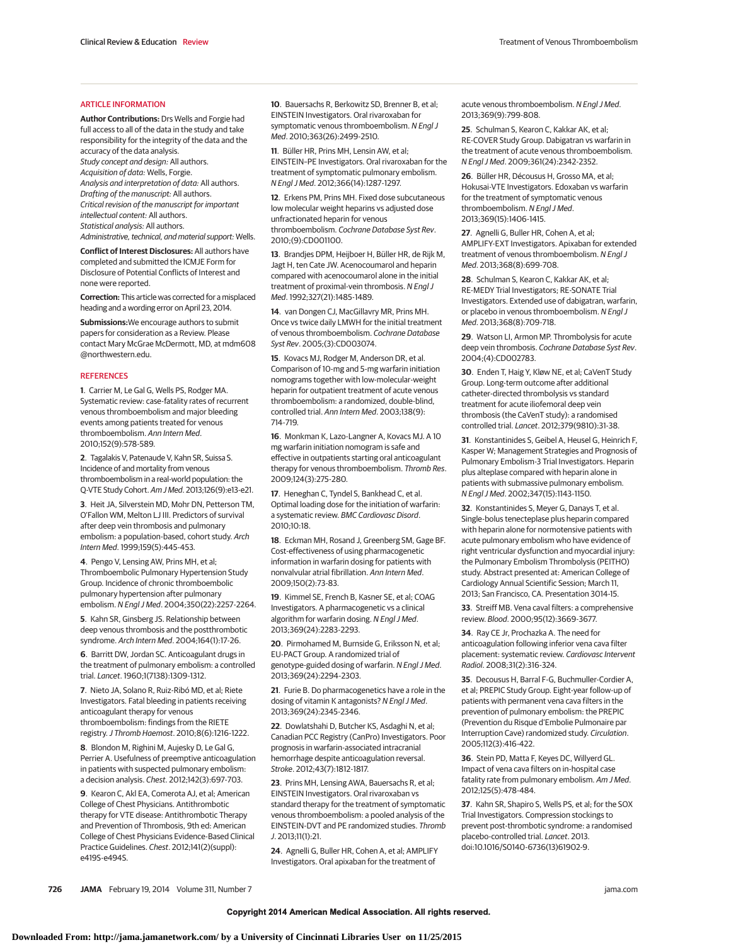#### ARTICLE INFORMATION

**Author Contributions:** Drs Wells and Forgie had full access to all of the data in the study and take responsibility for the integrity of the data and the accuracy of the data analysis. Study concept and design: All authors. Acquisition of data: Wells, Forgie. Analysis and interpretation of data: All authors. Drafting of the manuscript: All authors. Critical revision of the manuscript for important intellectual content: All authors. Statistical analysis: All authors.

Administrative, technical, and material support: Wells.

**Conflict of Interest Disclosures:** All authors have completed and submitted the ICMJE Form for Disclosure of Potential Conflicts of Interest and none were reported.

**Correction:** This article was corrected for a misplaced heading and a wording error on April 23, 2014.

**Submissions:**We encourage authors to submit papers for consideration as a Review. Please contact Mary McGrae McDermott, MD, at mdm608 @northwestern.edu.

#### **REFERENCES**

**1**. Carrier M, Le Gal G, Wells PS, Rodger MA. Systematic review: case-fatality rates of recurrent venous thromboembolism and major bleeding events among patients treated for venous thromboembolism. Ann Intern Med. 2010;152(9):578-589.

**2**. Tagalakis V, Patenaude V, Kahn SR, Suissa S. Incidence of and mortality from venous thromboembolism in a real-world population: the Q-VTE Study Cohort. Am J Med. 2013;126(9):e13-e21.

**3**. Heit JA, Silverstein MD, Mohr DN, Petterson TM, O'Fallon WM, Melton LJ III. Predictors of survival after deep vein thrombosis and pulmonary embolism: a population-based, cohort study. Arch Intern Med. 1999;159(5):445-453.

**4**. Pengo V, Lensing AW, Prins MH, et al; Thromboembolic Pulmonary Hypertension Study Group. Incidence of chronic thromboembolic pulmonary hypertension after pulmonary embolism. N Engl J Med. 2004;350(22):2257-2264.

**5**. Kahn SR, Ginsberg JS. Relationship between deep venous thrombosis and the postthrombotic syndrome. Arch Intern Med. 2004;164(1):17-26.

**6**. Barritt DW, Jordan SC. Anticoagulant drugs in the treatment of pulmonary embolism: a controlled trial. Lancet. 1960;1(7138):1309-1312.

**7**. Nieto JA, Solano R, Ruiz-Ribó MD, et al; Riete Investigators. Fatal bleeding in patients receiving anticoagulant therapy for venous thromboembolism: findings from the RIETE registry.J Thromb Haemost. 2010;8(6):1216-1222.

**8**. Blondon M, Righini M, Aujesky D, Le Gal G, Perrier A. Usefulness of preemptive anticoagulation in patients with suspected pulmonary embolism: a decision analysis. Chest. 2012;142(3):697-703.

**9**. Kearon C, Akl EA, Comerota AJ, et al; American College of Chest Physicians. Antithrombotic therapy for VTE disease: Antithrombotic Therapy and Prevention of Thrombosis, 9th ed: American College of Chest Physicians Evidence-Based Clinical Practice Guidelines. Chest. 2012;141(2)(suppl): e419S-e494S.

**10**. Bauersachs R, Berkowitz SD, Brenner B, et al; EINSTEIN Investigators. Oral rivaroxaban for symptomatic venous thromboembolism. N Engl J Med. 2010;363(26):2499-2510.

**11**. Büller HR, Prins MH, Lensin AW, et al; EINSTEIN–PE Investigators. Oral rivaroxaban for the treatment of symptomatic pulmonary embolism. N Engl J Med. 2012;366(14):1287-1297.

**12**. Erkens PM, Prins MH. Fixed dose subcutaneous low molecular weight heparins vs adjusted dose unfractionated heparin for venous thromboembolism. Cochrane Database Syst Rev. 2010;(9):CD001100.

**13**. Brandjes DPM, Heijboer H, Büller HR, de Rijk M, Jagt H, ten Cate JW. Acenocoumarol and heparin compared with acenocoumarol alone in the initial treatment of proximal-vein thrombosis. N Engl J Med. 1992;327(21):1485-1489.

**14**. van Dongen CJ, MacGillavry MR, Prins MH. Once vs twice daily LMWH for the initial treatment of venous thromboembolism. Cochrane Database Syst Rev. 2005;(3):CD003074.

**15**. Kovacs MJ, Rodger M, Anderson DR, et al. Comparison of 10-mg and 5-mg warfarin initiation nomograms together with low-molecular-weight heparin for outpatient treatment of acute venous thromboembolism: a randomized, double-blind, controlled trial. Ann Intern Med. 2003;138(9): 714-719.

**16**. Monkman K, Lazo-Langner A, Kovacs MJ. A 10 mg warfarin initiation nomogram is safe and effective in outpatients starting oral anticoagulant therapy for venous thromboembolism. Thromb Res. 2009;124(3):275-280.

**17**. Heneghan C, Tyndel S, Bankhead C, et al. Optimal loading dose for the initiation of warfarin: a systematic review. BMC Cardiovasc Disord. 2010;10:18.

**18**. Eckman MH, Rosand J, Greenberg SM, Gage BF. Cost-effectiveness of using pharmacogenetic information in warfarin dosing for patients with nonvalvular atrial fibrillation. Ann Intern Med. 2009;150(2):73-83.

**19**. Kimmel SE, French B, Kasner SE, et al; COAG Investigators. A pharmacogenetic vs a clinical algorithm for warfarin dosing. N Engl J Med. 2013;369(24):2283-2293.

**20**. Pirmohamed M, Burnside G, Eriksson N, et al; EU-PACT Group. A randomized trial of genotype-guided dosing of warfarin. N Engl J Med. 2013;369(24):2294-2303.

**21**. Furie B. Do pharmacogenetics have a role in the dosing of vitamin K antagonists? N Engl J Med. 2013;369(24):2345-2346.

**22**. Dowlatshahi D, Butcher KS, Asdaghi N, et al; Canadian PCC Registry (CanPro) Investigators. Poor prognosis in warfarin-associated intracranial hemorrhage despite anticoagulation reversal. Stroke. 2012;43(7):1812-1817.

**23**. Prins MH, Lensing AWA, Bauersachs R, et al; EINSTEIN Investigators. Oral rivaroxaban vs standard therapy for the treatment of symptomatic venous thromboembolism: a pooled analysis of the EINSTEIN-DVT and PE randomized studies. Thromb J. 2013;11(1):21.

**24**. Agnelli G, Buller HR, Cohen A, et al; AMPLIFY Investigators. Oral apixaban for the treatment of

acute venous thromboembolism. N Engl J Med. 2013;369(9):799-808.

**25**. Schulman S, Kearon C, Kakkar AK, et al; RE-COVER Study Group. Dabigatran vs warfarin in the treatment of acute venous thromboembolism. N Engl J Med. 2009;361(24):2342-2352.

**26**. Büller HR, Décousus H, Grosso MA, et al; Hokusai-VTE Investigators. Edoxaban vs warfarin for the treatment of symptomatic venous thromboembolism. N Engl J Med. 2013;369(15):1406-1415.

**27**. Agnelli G, Buller HR, Cohen A, et al; AMPLIFY-EXT Investigators. Apixaban for extended treatment of venous thromboembolism. N Engl J Med. 2013;368(8):699-708.

**28**. Schulman S, Kearon C, Kakkar AK, et al; RE-MEDY Trial Investigators; RE-SONATE Trial Investigators. Extended use of dabigatran, warfarin, or placebo in venous thromboembolism. N Engl J Med. 2013;368(8):709-718.

**29**. Watson LI, Armon MP. Thrombolysis for acute deep vein thrombosis. Cochrane Database Syst Rev. 2004;(4):CD002783.

**30**. Enden T, Haig Y, Kløw NE, et al; CaVenT Study Group. Long-term outcome after additional catheter-directed thrombolysis vs standard treatment for acute iliofemoral deep vein thrombosis (the CaVenT study): a randomised controlled trial. Lancet. 2012;379(9810):31-38.

**31**. Konstantinides S, Geibel A, Heusel G, Heinrich F, Kasper W; Management Strategies and Prognosis of Pulmonary Embolism-3 Trial Investigators. Heparin plus alteplase compared with heparin alone in patients with submassive pulmonary embolism. N Engl J Med. 2002;347(15):1143-1150.

**32**. Konstantinides S, Meyer G, Danays T, et al. Single-bolus tenecteplase plus heparin compared with heparin alone for normotensive patients with acute pulmonary embolism who have evidence of right ventricular dysfunction and myocardial injury: the Pulmonary Embolism Thrombolysis (PEITHO) study. Abstract presented at: American College of Cardiology Annual Scientific Session; March 11, 2013; San Francisco, CA. Presentation 3014-15.

**33**. Streiff MB. Vena caval filters: a comprehensive review. Blood. 2000;95(12):3669-3677.

**34**. Ray CE Jr, Prochazka A. The need for anticoagulation following inferior vena cava filter placement: systematic review. Cardiovasc Intervent Radiol. 2008;31(2):316-324.

**35**. Decousus H, Barral F-G, Buchmuller-Cordier A, et al; PREPIC Study Group. Eight-year follow-up of patients with permanent vena cava filters in the prevention of pulmonary embolism: the PREPIC (Prevention du Risque d'Embolie Pulmonaire par Interruption Cave) randomized study. Circulation. 2005;112(3):416-422.

**36**. Stein PD, Matta F, Keyes DC, Willyerd GL. Impact of vena cava filters on in-hospital case fatality rate from pulmonary embolism. Am J Med. 2012;125(5):478-484.

**37**. Kahn SR, Shapiro S, Wells PS, et al; for the SOX Trial Investigators. Compression stockings to prevent post-thrombotic syndrome: a randomised placebo-controlled trial. Lancet. 2013. doi:10.1016/S0140-6736(13)61902-9.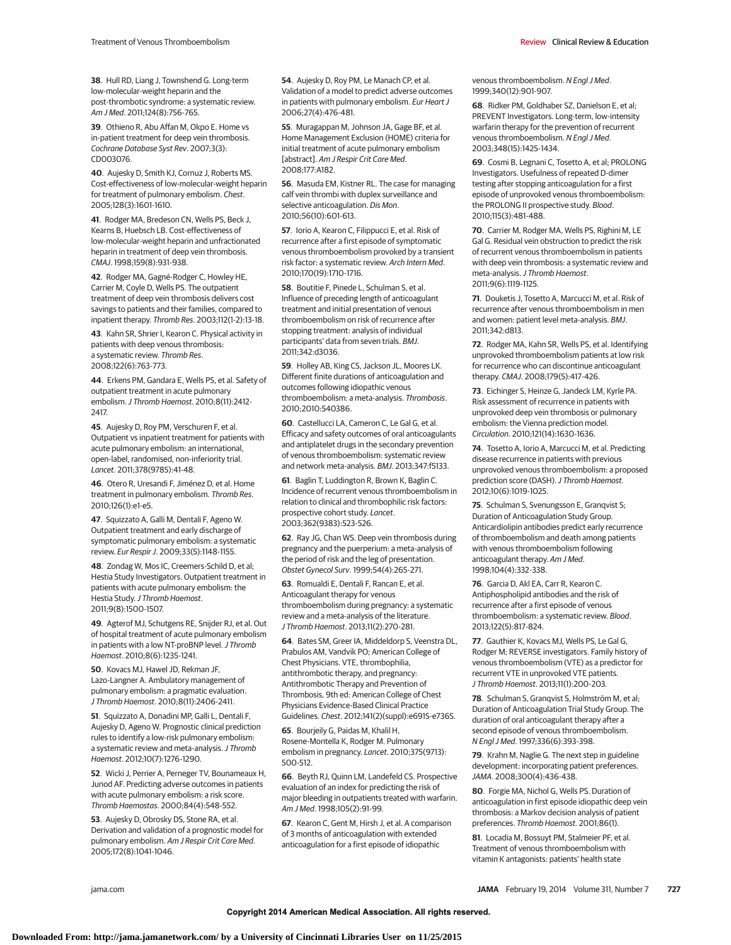**38**. Hull RD, Liang J, Townshend G. Long-term low-molecular-weight heparin and the post-thrombotic syndrome: a systematic review. Am J Med. 2011;124(8):756-765.

**39**. Othieno R, Abu Affan M, Okpo E. Home vs in-patient treatment for deep vein thrombosis. Cochrane Database Syst Rev. 2007;3(3): CD003076.

**40**. Aujesky D, Smith KJ, Cornuz J, Roberts MS. Cost-effectiveness of low-molecular-weight heparin for treatment of pulmonary embolism. Chest. 2005;128(3):1601-1610.

**41**. Rodger MA, Bredeson CN, Wells PS, Beck J, Kearns B, Huebsch LB. Cost-effectiveness of low-molecular-weight heparin and unfractionated heparin in treatment of deep vein thrombosis. CMAJ. 1998;159(8):931-938.

**42**. Rodger MA, Gagné-Rodger C, Howley HE, Carrier M, Coyle D, Wells PS. The outpatient treatment of deep vein thrombosis delivers cost savings to patients and their families, compared to inpatient therapy. Thromb Res. 2003;112(1-2):13-18.

**43**. Kahn SR, Shrier I, Kearon C. Physical activity in patients with deep venous thrombosis: a systematic review. Thromb Res. 2008;122(6):763-773.

**44**. Erkens PM, Gandara E, Wells PS, et al. Safety of outpatient treatment in acute pulmonary embolism.J Thromb Haemost. 2010;8(11):2412- 2417.

**45**. Aujesky D, Roy PM, Verschuren F, et al. Outpatient vs inpatient treatment for patients with acute pulmonary embolism: an international, open-label, randomised, non-inferiority trial. Lancet. 2011;378(9785):41-48.

**46**. Otero R, Uresandi F, Jiménez D, et al. Home treatment in pulmonary embolism. Thromb Res. 2010;126(1):e1-e5.

**47**. Squizzato A, Galli M, Dentali F, Ageno W. Outpatient treatment and early discharge of symptomatic pulmonary embolism: a systematic review. Eur Respir J. 2009;33(5):1148-1155.

**48**. Zondag W, Mos IC, Creemers-Schild D, et al; Hestia Study Investigators. Outpatient treatment in patients with acute pulmonary embolism: the Hestia Study. J Thromb Haemost. 2011;9(8):1500-1507.

**49**. Agterof MJ, Schutgens RE, Snijder RJ, et al. Out of hospital treatment of acute pulmonary embolism in patients with a low NT-proBNP level. J Thromb Haemost. 2010;8(6):1235-1241.

**50**. Kovacs MJ, Hawel JD, Rekman JF, Lazo-Langner A. Ambulatory management of pulmonary embolism: a pragmatic evaluation. J Thromb Haemost. 2010;8(11):2406-2411.

**51**. Squizzato A, Donadini MP, Galli L, Dentali F, Aujesky D, Ageno W. Prognostic clinical prediction rules to identify a low-risk pulmonary embolism: a systematic review and meta-analysis. J Thromb Haemost. 2012;10(7):1276-1290.

**52**. Wicki J, Perrier A, Perneger TV, Bounameaux H, Junod AF. Predicting adverse outcomes in patients with acute pulmonary embolism: a risk score. Thromb Haemostas. 2000;84(4):548-552.

**53**. Aujesky D, Obrosky DS, Stone RA, et al. Derivation and validation of a prognostic model for pulmonary embolism. Am J Respir Crit Care Med. 2005;172(8):1041-1046.

**54**. Aujesky D, Roy PM, Le Manach CP, et al. Validation of a model to predict adverse outcomes in patients with pulmonary embolism. Eur Heart J 2006;27(4):476-481.

**55**. Muragappan M, Johnson JA, Gage BF, et al. Home Management Exclusion (HOME) criteria for initial treatment of acute pulmonary embolism [abstract]. Am J Respir Crit Care Med. 2008;177:A182.

**56**. Masuda EM, Kistner RL. The case for managing calf vein thrombi with duplex surveillance and selective anticoagulation. Dis Mon. 2010;56(10):601-613.

**57**. Iorio A, Kearon C, Filippucci E, et al. Risk of recurrence after a first episode of symptomatic venous thromboembolism provoked by a transient risk factor: a systematic review. Arch Intern Med. 2010;170(19):1710-1716.

**58**. Boutitie F, Pinede L, Schulman S, et al. Influence of preceding length of anticoagulant treatment and initial presentation of venous thromboembolism on risk of recurrence after stopping treatment: analysis of individual participants' data from seven trials. BMJ. 2011;342:d3036.

**59**. Holley AB, King CS, Jackson JL, Moores LK. Different finite durations of anticoagulation and outcomes following idiopathic venous thromboembolism: a meta-analysis. Thrombosis. 2010;2010:540386.

**60**. Castellucci LA, Cameron C, Le Gal G, et al. Efficacy and safety outcomes of oral anticoagulants and antiplatelet drugs in the secondary prevention of venous thromboembolism: systematic review and network meta-analysis. BMJ. 2013;347:f5133.

**61**. Baglin T, Luddington R, Brown K, Baglin C. Incidence of recurrent venous thromboembolism in relation to clinical and thrombophilic risk factors: prospective cohort study. Lancet. 2003;362(9383):523-526.

**62**. Ray JG, Chan WS. Deep vein thrombosis during pregnancy and the puerperium: a meta-analysis of the period of risk and the leg of presentation. Obstet Gynecol Surv. 1999;54(4):265-271.

**63**. Romualdi E, Dentali F, Rancan E, et al. Anticoagulant therapy for venous thromboembolism during pregnancy: a systematic review and a meta-analysis of the literature. J Thromb Haemost. 2013;11(2):270-281.

**64**. Bates SM, Greer IA, Middeldorp S, Veenstra DL, Prabulos AM, Vandvik PO; American College of Chest Physicians. VTE, thrombophilia, antithrombotic therapy, and pregnancy: Antithrombotic Therapy and Prevention of Thrombosis, 9th ed: American College of Chest Physicians Evidence-Based Clinical Practice Guidelines. Chest. 2012;141(2)(suppl):e691S-e736S.

**65**. Bourjeily G, Paidas M, Khalil H, Rosene-Montella K, Rodger M. Pulmonary embolism in pregnancy. Lancet. 2010;375(9713): 500-512.

**66**. Beyth RJ, Quinn LM, Landefeld CS. Prospective evaluation of an index for predicting the risk of major bleeding in outpatients treated with warfarin. Am J Med. 1998;105(2):91-99.

**67**. Kearon C, Gent M, Hirsh J, et al. A comparison of 3 months of anticoagulation with extended anticoagulation for a first episode of idiopathic

venous thromboembolism. N Engl J Med. 1999;340(12):901-907.

**68**. Ridker PM, Goldhaber SZ, Danielson E, et al; PREVENT Investigators. Long-term, low-intensity warfarin therapy for the prevention of recurrent venous thromboembolism. N Engl J Med. 2003;348(15):1425-1434.

**69**. Cosmi B, Legnani C, Tosetto A, et al; PROLONG Investigators. Usefulness of repeated D-dimer testing after stopping anticoagulation for a first episode of unprovoked venous thromboembolism: the PROLONG II prospective study. Blood. 2010;115(3):481-488.

**70**. Carrier M, Rodger MA, Wells PS, Righini M, LE Gal G. Residual vein obstruction to predict the risk of recurrent venous thromboembolism in patients with deep vein thrombosis: a systematic review and meta-analysis. J Thromb Haemost. 2011;9(6):1119-1125.

**71**. Douketis J, Tosetto A, Marcucci M, et al. Risk of recurrence after venous thromboembolism in men and women: patient level meta-analysis. BMJ. 2011;342:d813.

**72**. Rodger MA, Kahn SR, Wells PS, et al. Identifying unprovoked thromboembolism patients at low risk for recurrence who can discontinue anticoagulant therapy. CMAJ. 2008;179(5):417-426.

**73**. Eichinger S, Heinze G, Jandeck LM, Kyrle PA. Risk assessment of recurrence in patients with unprovoked deep vein thrombosis or pulmonary embolism: the Vienna prediction model. Circulation. 2010;121(14):1630-1636.

**74**. Tosetto A, Iorio A, Marcucci M, et al. Predicting disease recurrence in patients with previous unprovoked venous thromboembolism: a proposed prediction score (DASH). J Thromb Haemost. 2012;10(6):1019-1025.

**75**. Schulman S, Svenungsson E, Granqvist S; Duration of Anticoagulation Study Group. Anticardiolipin antibodies predict early recurrence of thromboembolism and death among patients with venous thromboembolism following anticoagulant therapy. Am J Med. 1998;104(4):332-338.

**76**. Garcia D, Akl EA, Carr R, Kearon C. Antiphospholipid antibodies and the risk of recurrence after a first episode of venous thromboembolism: a systematic review. Blood. 2013;122(5):817-824.

**77**. Gauthier K, Kovacs MJ, Wells PS, Le Gal G, Rodger M; REVERSE investigators. Family history of venous thromboembolism (VTE) as a predictor for recurrent VTE in unprovoked VTE patients. J Thromb Haemost. 2013;11(1):200-203.

**78**. Schulman S, Granqvist S, Holmström M, et al; Duration of Anticoagulation Trial Study Group. The duration of oral anticoagulant therapy after a second episode of venous thromboembolism. N Engl J Med. 1997;336(6):393-398.

**79**. Krahn M, Naglie G. The next step in guideline development: incorporating patient preferences. JAMA. 2008;300(4):436-438.

**80**. Forgie MA, Nichol G, Wells PS. Duration of anticoagulation in first episode idiopathic deep vein thrombosis: a Markov decision analysis of patient preferences. Thromb Haemost. 2001;86(1).

**81**. Locadia M, Bossuyt PM, Stalmeier PF, et al. Treatment of venous thromboembolism with vitamin K antagonists: patients' health state